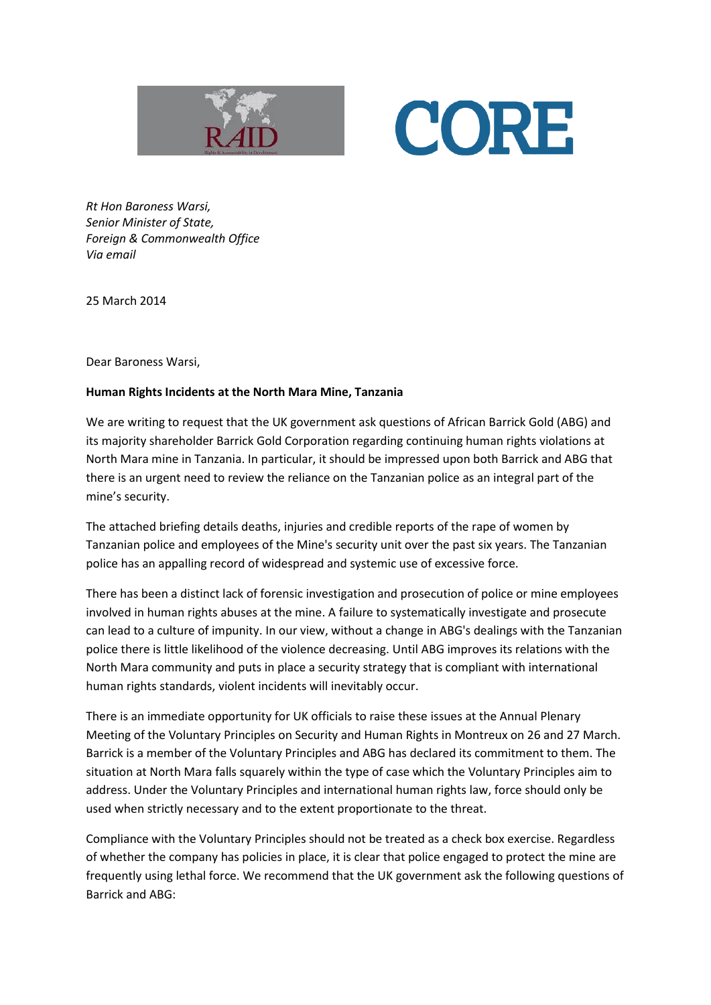



*Rt Hon Baroness Warsi, Senior Minister of State, Foreign & Commonwealth Office Via email*

25 March 2014

Dear Baroness Warsi,

## **Human Rights Incidents at the North Mara Mine, Tanzania**

We are writing to request that the UK government ask questions of African Barrick Gold (ABG) and its majority shareholder Barrick Gold Corporation regarding continuing human rights violations at North Mara mine in Tanzania. In particular, it should be impressed upon both Barrick and ABG that there is an urgent need to review the reliance on the Tanzanian police as an integral part of the mine's security.

The attached briefing details deaths, injuries and credible reports of the rape of women by Tanzanian police and employees of the Mine's security unit over the past six years. The Tanzanian police has an appalling record of widespread and systemic use of excessive force.

There has been a distinct lack of forensic investigation and prosecution of police or mine employees involved in human rights abuses at the mine. A failure to systematically investigate and prosecute can lead to a culture of impunity. In our view, without a change in ABG's dealings with the Tanzanian police there is little likelihood of the violence decreasing. Until ABG improves its relations with the North Mara community and puts in place a security strategy that is compliant with international human rights standards, violent incidents will inevitably occur.

There is an immediate opportunity for UK officials to raise these issues at the Annual Plenary Meeting of the Voluntary Principles on Security and Human Rights in Montreux on 26 and 27 March. Barrick is a member of the Voluntary Principles and ABG has declared its commitment to them. The situation at North Mara falls squarely within the type of case which the Voluntary Principles aim to address. Under the Voluntary Principles and international human rights law, force should only be used when strictly necessary and to the extent proportionate to the threat.

Compliance with the Voluntary Principles should not be treated as a check box exercise. Regardless of whether the company has policies in place, it is clear that police engaged to protect the mine are frequently using lethal force. We recommend that the UK government ask the following questions of Barrick and ABG: